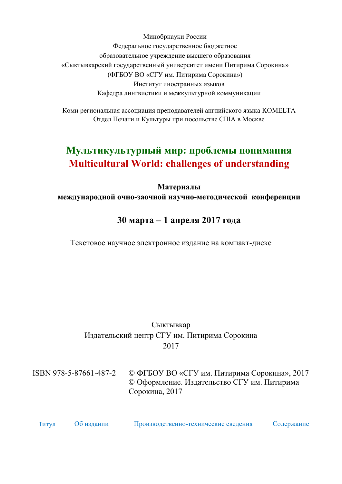<span id="page-0-0"></span>Минобрнауки России Федеральное государственное бюджетное образовательное учреждение высшего образования «Сыктывкарский государственный университет имени Питирима Сорокина» (ФГБОУ ВО «СГУ им. Питирима Сорокина») Институт иностранных языков Кафедра лингвистики и межкультурной коммуникации

Коми региональная ассоциация преподавателей английского языка KOMELTA Отдел Печати и Культуры при посольстве США в Москве

# **Мультикультурный мир: проблемы понимания Multicultural World: challenges of understanding**

**Материалы международной очно-заочной научно-методической конференции** 

## **30 марта 1 апреля 2017 года**

Текстовое научное электронное издание на компакт-диске

## Сыктывкар Издательский центр СГУ им. Питирима Сорокина 2017

ISBN 978-5-87661-487-2 © ФГБОУ ВО «СГУ им. Питирима Сорокина», 2017 © Оформление. Издательство СГУ им. Питирима Сорокина, 2017

| <b>Гитул</b> | Об издании | Производственно-технические сведения | Содержание |
|--------------|------------|--------------------------------------|------------|
|              |            |                                      |            |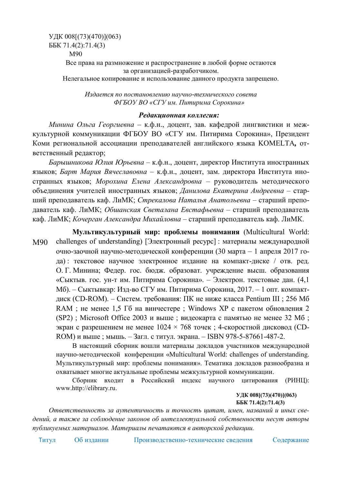<span id="page-1-0"></span>УДК 008[(73)(470)](063) ББК 71.4(2):71.4(3) М90 Все права на размножение и распространение в любой форме остаются за организацией-разработчиком. Нелегальное копирование и использование данного продукта запрещено.

> *Издается по постановлению научно-технического совета ФГБОУ ВО «СГУ им. Питирима Сорокина»*

#### *Редакционная коллегия:*

*Минина Ольга Георгиевна* – к.ф.н., доцент, зав. кафедрой лингвистики и межкультурной коммуникации ФГБОУ ВО «СГУ им. Питирима Сорокина», Президент Коми региональной ассоциации преподавателей английского языка KOMELTA*,* ответственный редактор;

*Барышникова Юлия Юрьевна* – к.ф.н., доцент, директор Института иностранных языков; *Барт Мария Вячеславовна* – к.ф.н., доцент, зам. директора Института иностранных языков; *Морохина Елена Александровна* – руководитель методического объединения учителей иностранных языков; *Данилова Екатерина Андреевна* – старший преподаватель каф. ЛиМК; *Стрекалова Наталья Анатольевна* – старший преподаватель каф. ЛиМК; *Обшанская Светалана Евстафьевна* – старший преподаватель каф. ЛиМК; *Кочерган Александра Михайловна* – старший преподаватель каф. ЛиМК.

М90 **Мультикультурный мир: проблемы понимания** (Multicultural World: challenges of understanding) [Электронный ресурс] : материалы международной очно-заочной научно-методической конференции (30 марта – 1 апреля 2017 года) : текстовое научное электронное издание на компакт-диске / отв. ред. О. Г. Минина; Федер. гос. бюдж. образоват. учреждение высш. образования «Сыктыв. гос. ун-т им. Питирима Сорокина». – Электрон. текстовые дан. (4,1 Мб). – Сыктывкар: Изд-во СГУ им. Питирима Сорокина, 2017. – 1 опт. компактдиск (CD-ROM). – Систем. требования: ПК не ниже класса Pentium III ; 256 Мб RAM ; не менее 1,5 Гб на винчестере ; Windows XP с пакетом обновления 2 (SP2) ; Microsoft Office 2003 и выше ; видеокарта с памятью не менее 32 Мб ; экран с разрешением не менее  $1024 \times 768$  точек; 4-скоростной дисковод (CD-ROM) и выше ; мышь. – Загл. с титул. экрана. – ISBN 978-5-87661-487-2.

В настоящий сборник вошли материалы докладов участников международной научно-методической конференции «Multicultural World: challenges of understanding. Мультикультурный мир: проблемы понимания». Тематика докладов разнообразна и охватывает многие актуальные проблемы межкультурной коммуникации.

Сборник входит в Российский индекс научного цитирования (РИНЦ): www.http://elibrary.ru.

**УДК 008[(73)(470)](063) ББК 71.4(2):71.4(3)**

*Ответственность за аутентичность и точность цитат, имен, названий и иных сведений, а также за соблюдение законов об интеллектуальной собственности н[есут авторы](#page--1-0) публикуемых материалов. Матер[иалы печатаются в авторской редакции.](#page--1-0)*

Т[итул](#page-0-0) Об издании [Производственно-технические сведения](#page--1-0) [Содержание](#page--1-0)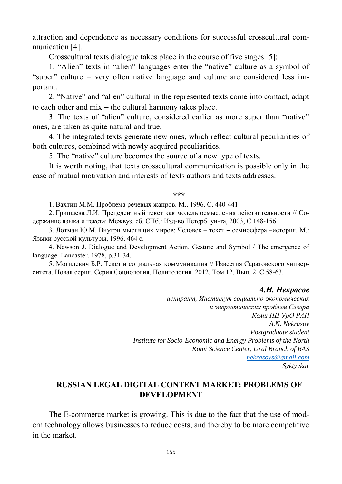attraction and dependence as necessary conditions for successful crosscultural communication [4].

Crosscultural texts dialogue takes place in the course of five stages [5]:

1. "Alien" texts in "alien" languages enter the "native" culture as a symbol of "super" culture – very often native language and culture are considered less important.

2. "Native" and "alien" cultural in the represented texts come into contact, adapt to each other and  $mix$  – the cultural harmony takes place.

3. The texts of "alien" culture, considered earlier as more super than "native" ones, are taken as quite natural and true.

4. The integrated texts generate new ones, which reflect cultural peculiarities of both cultures, combined with newly acquired peculiarities.

5. The "native" culture becomes the source of a new type of texts.

It is worth noting, that texts crosscultural communication is possible only in the ease of mutual motivation and interests of texts authors and texts addresses.

#### **\*\*\***

1. Вахтин М.М. Проблема речевых жанров. M., 1996, С. 440-441.

2. Гришаева Л.И. Прецедентный текст как модель осмысления действительности // Содержание языка и текста: Межвуз. сб. СПб.: Изд-во Петерб. ун-та, 2003, С.148-156.

3. Лотман Ю.М. Внутри мыслящих миров: Человек – текст семиосфера –история. М.: Языки русской культуры, 1996. 464 с.

4. Newson J. Dialogue and Development Action. Gesture and Symbol / The emergence of language. Lancaster, 1978, p.31-34.

5. Могилевич Б.Р. Текст и социальная коммуникация // Известия Саратовского университета. Новая серия. Серия Социология. Политология. 2012. Том 12. Вып. 2. С.58-63.

#### *А.Н. Некрасов*

*аспирант, Институт социально-экономических и энергетических проблем Севера Коми НЦ УрО РАН A.N. Nekrasov Postgraduate student Institute for Socio-Economic and Energy Problems of the North Komi Science Center, Ural Branch of RAS [nekrasovs@gmail.com](mailto:nekrasovs@gmail.com)  Syktyvkar* 

### **RUSSIAN LEGAL DIGITAL CONTENT MARKET: PROBLEMS OF DEVELOPMENT**

The E-commerce market is growing. This is due to the fact that the use of modern technology allows businesses to reduce costs, and thereby to be more competitive in the market.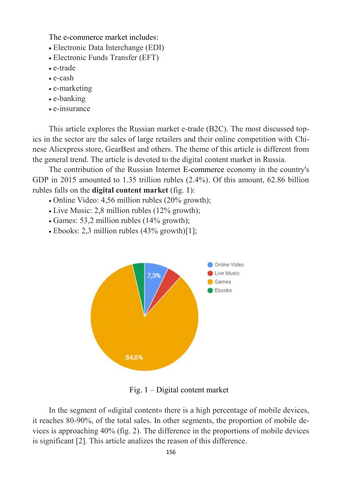The e-commerce market includes:

- Electroniс Data Interchange (EDI)
- Electronic Funds Transfer (EFT)
- e-trade
- e-cash
- e-marketing
- e-banking
- e-insurance

This article explores the Russian market e-trade (B2C). The most discussed topics in the sector are the sales of large retailers and their online competition with Chinese Aliexpress store, GearBest and others. The theme of this article is different from the general trend. The article is devoted to the digital content market in Russia.

The contribution of the Russian Internet E-commerce economy in the country's GDP in 2015 amounted to 1.35 trillion rubles  $(2.4\%)$ . Of this amount, 62.86 billion rubles falls on the **digital content market** (fig. 1):

- Online Video: 4,56 million rubles (20% growth);
- Live Music: 2,8 million rubles (12% growth);
- Games: 53,2 million rubles (14% growth);
- Ebooks: 2,3 million rubles (43% growth)[1];



Fig. 1 – Digital content market

In the segment of «digital content» there is a high percentage of mobile devices, it reaches 80-90%, of the total sales. In other segments, the proportion of mobile devices is approaching 40% (fig. 2). The difference in the proportions of mobile devices is significant [2]. This article analizes the reason of this difference.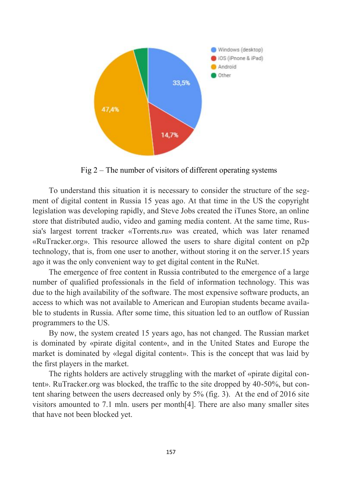

Fig 2 – The number of visitors of different operating systems

To understand this situation it is necessary to consider the structure of the segment of digital content in Russia 15 yeas ago. At that time in the US the copyright legislation was developing rapidly, and Steve Jobs created the iTunes Store, an online store that distributed audio, video and gaming media content. At the same time, Russia's largest torrent tracker «Torrents.ru» was created, which was later renamed «RuTracker.org». This resource allowed the users to share digital content on p2p technology, that is, from one user to another, without storing it on the server.15 years ago it was the only convenient way to get digital content in the RuNet.

The emergence of free content in Russia contributed to the emergence of a large number of qualified professionals in the field of information technology. This was due to the high availability of the software. The most expensive software products, an access to which was not available to American and Europian students became available to students in Russia. After some time, this situation led to an outflow of Russian programmers to the US.

By now, the system created 15 years ago, has not changed. The Russian market is dominated by «pirate digital content», and in the United States and Europe the market is dominated by «legal digital content». This is the concept that was laid by the first players in the market.

The rights holders are actively struggling with the market of «pirate digital content». RuTracker.org was blocked, the traffic to the site dropped by 40-50%, but content sharing between the users decreased only by 5% (fig. 3). At the end of 2016 site visitors amounted to 7.1 mln. users per month[4]. There are also many smaller sites that have not been blocked yet.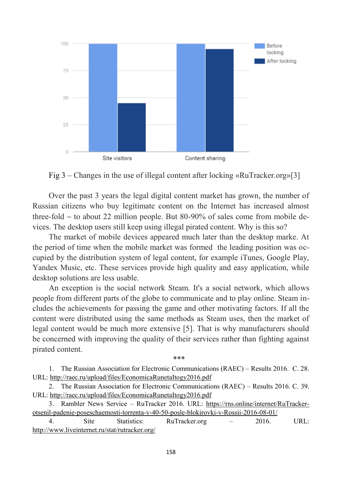

Fig 3 – Changes in the use of illegal content after locking «RuTracker.org»[3]

Over the past 3 years the legal digital content market has grown, the number of Russian citizens who buy legitimate content on the Internet has increased almost three-fold  $-$  to about 22 million people. But 80-90% of sales come from mobile devices. The desktop users still keep using illegal pirated content. Why is this so?

The market of mobile devices appeared much later than the desktop marke. At the period of time when the mobile market was formed the leading position was occupied by the distribution system of legal content, for example iTunes, Google Play, Yandex Music, etc. These services provide high quality and easy application, while desktop solutions are less usable.

An exception is the social network Steam. It's a social network, which allows people from different parts of the globe to communicate and to play online. Steam includes the achievements for passing the game and other motivating factors. If all the content were distributed using the same methods as Steam uses, then the market of legal content would be much more extensive [5]. That is why manufacturers should be concerned with improving the quality of their services rather than fighting against pirated content.

\*\*\*

1. The Russian Association for Electronic Communications (RAEC) – Results 2016. C. 28. URL:<http://raec.ru/upload/files/EconomicaRunetaItogy2016.pdf>

2. The Russian Association for Electronic Communications (RAEC) – Results 2016. C. 39. URL:<http://raec.ru/upload/files/EconomicaRunetaItogy2016.pdf>

3. Rambler News Service – RuTracker 2016. URL: [https://rns.online/internet/RuTracker](https://rns.online/internet/RuTracker-otsenil-padenie-poseschaemosti-torrenta-v-40-50-posle-blokirovki-v-Rossii-2016-08-01/)[otsenil-padenie-poseschaemosti-torrenta-v-40-50-posle-blokirovki-v-Rossii-2016-08-01/](https://rns.online/internet/RuTracker-otsenil-padenie-poseschaemosti-torrenta-v-40-50-posle-blokirovki-v-Rossii-2016-08-01/) 

4. Site Statistics: RuTracker.org – 2016. URL: <http://www.liveinternet.ru/stat/rutracker.org/>